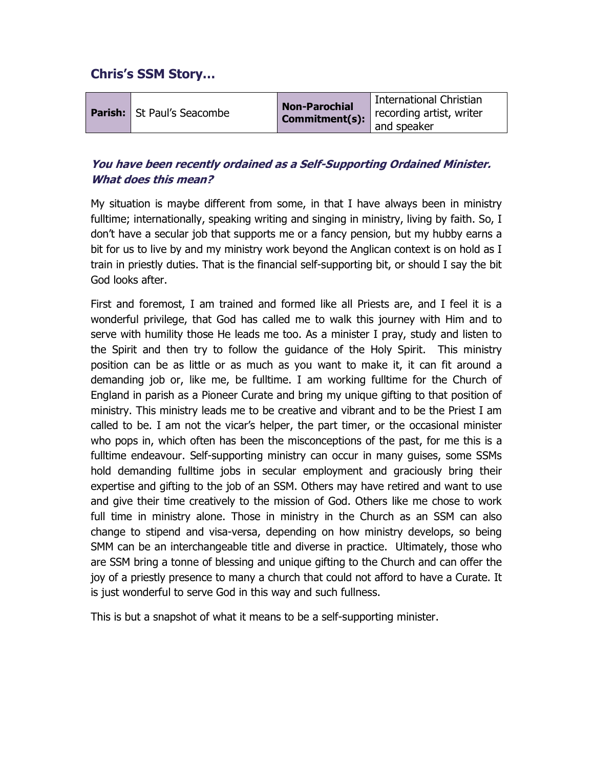# Chris's SSM Story…

|                                   | <b>Non-Parochial</b> | International Christian  |
|-----------------------------------|----------------------|--------------------------|
| <b>Parish:</b> St Paul's Seacombe | Commitment(s):       | recording artist, writer |
|                                   |                      | and speaker              |

## You have been recently ordained as a Self-Supporting Ordained Minister. What does this mean?

My situation is maybe different from some, in that I have always been in ministry fulltime; internationally, speaking writing and singing in ministry, living by faith. So, I don't have a secular job that supports me or a fancy pension, but my hubby earns a bit for us to live by and my ministry work beyond the Anglican context is on hold as I train in priestly duties. That is the financial self-supporting bit, or should I say the bit God looks after.

First and foremost, I am trained and formed like all Priests are, and I feel it is a wonderful privilege, that God has called me to walk this journey with Him and to serve with humility those He leads me too. As a minister I pray, study and listen to the Spirit and then try to follow the guidance of the Holy Spirit. This ministry position can be as little or as much as you want to make it, it can fit around a demanding job or, like me, be fulltime. I am working fulltime for the Church of England in parish as a Pioneer Curate and bring my unique gifting to that position of ministry. This ministry leads me to be creative and vibrant and to be the Priest I am called to be. I am not the vicar's helper, the part timer, or the occasional minister who pops in, which often has been the misconceptions of the past, for me this is a fulltime endeavour. Self-supporting ministry can occur in many guises, some SSMs hold demanding fulltime jobs in secular employment and graciously bring their expertise and gifting to the job of an SSM. Others may have retired and want to use and give their time creatively to the mission of God. Others like me chose to work full time in ministry alone. Those in ministry in the Church as an SSM can also change to stipend and visa-versa, depending on how ministry develops, so being SMM can be an interchangeable title and diverse in practice. Ultimately, those who are SSM bring a tonne of blessing and unique gifting to the Church and can offer the joy of a priestly presence to many a church that could not afford to have a Curate. It is just wonderful to serve God in this way and such fullness.

This is but a snapshot of what it means to be a self-supporting minister.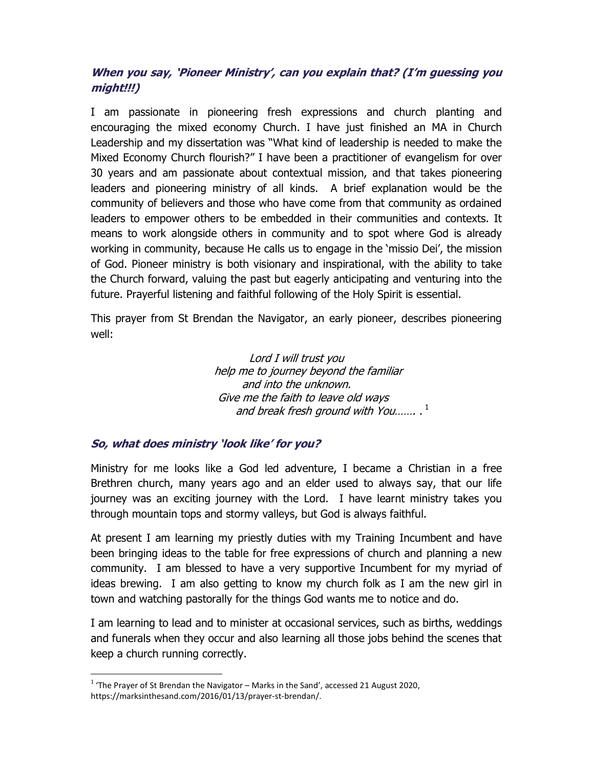## When you say, 'Pioneer Ministry', can you explain that? (I'm guessing you might!!!)

I am passionate in pioneering fresh expressions and church planting and encouraging the mixed economy Church. I have just finished an MA in Church Leadership and my dissertation was "What kind of leadership is needed to make the Mixed Economy Church flourish?" I have been a practitioner of evangelism for over 30 years and am passionate about contextual mission, and that takes pioneering leaders and pioneering ministry of all kinds. A brief explanation would be the community of believers and those who have come from that community as ordained leaders to empower others to be embedded in their communities and contexts. It means to work alongside others in community and to spot where God is already working in community, because He calls us to engage in the 'missio Dei', the mission of God. Pioneer ministry is both visionary and inspirational, with the ability to take the Church forward, valuing the past but eagerly anticipating and venturing into the future. Prayerful listening and faithful following of the Holy Spirit is essential.

This prayer from St Brendan the Navigator, an early pioneer, describes pioneering well:

> Lord I will trust you help me to journey beyond the familiar and into the unknown. Give me the faith to leave old ways and break fresh ground with You....... . $^1$

#### So, what does ministry 'look like' for you?

Ministry for me looks like a God led adventure, I became a Christian in a free Brethren church, many years ago and an elder used to always say, that our life journey was an exciting journey with the Lord. I have learnt ministry takes you through mountain tops and stormy valleys, but God is always faithful.

At present I am learning my priestly duties with my Training Incumbent and have been bringing ideas to the table for free expressions of church and planning a new community. I am blessed to have a very supportive Incumbent for my myriad of ideas brewing. I am also getting to know my church folk as I am the new girl in town and watching pastorally for the things God wants me to notice and do.

I am learning to lead and to minister at occasional services, such as births, weddings and funerals when they occur and also learning all those jobs behind the scenes that keep a church running correctly.

<sup>-</sup> $1$  'The Prayer of St Brendan the Navigator – Marks in the Sand', accessed 21 August 2020, https://marksinthesand.com/2016/01/13/prayer-st-brendan/.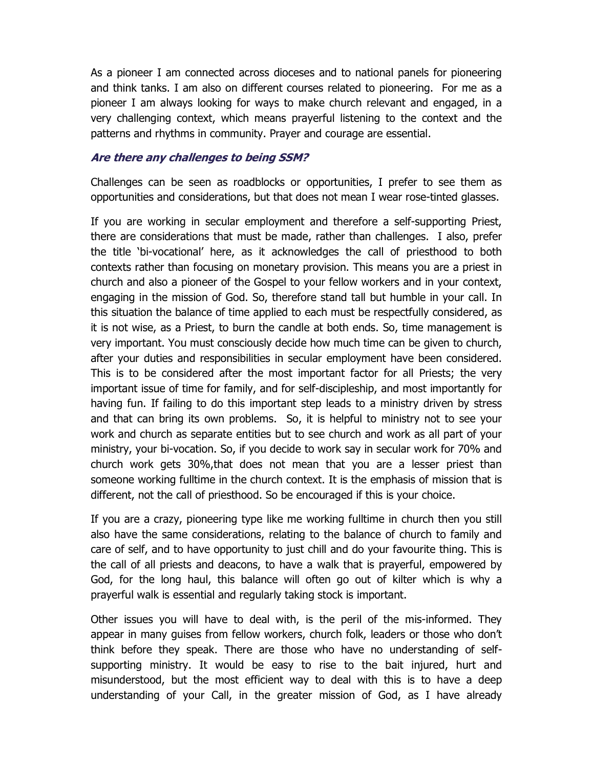As a pioneer I am connected across dioceses and to national panels for pioneering and think tanks. I am also on different courses related to pioneering. For me as a pioneer I am always looking for ways to make church relevant and engaged, in a very challenging context, which means prayerful listening to the context and the patterns and rhythms in community. Prayer and courage are essential.

#### Are there any challenges to being SSM?

Challenges can be seen as roadblocks or opportunities, I prefer to see them as opportunities and considerations, but that does not mean I wear rose-tinted glasses.

If you are working in secular employment and therefore a self-supporting Priest, there are considerations that must be made, rather than challenges. I also, prefer the title 'bi-vocational' here, as it acknowledges the call of priesthood to both contexts rather than focusing on monetary provision. This means you are a priest in church and also a pioneer of the Gospel to your fellow workers and in your context, engaging in the mission of God. So, therefore stand tall but humble in your call. In this situation the balance of time applied to each must be respectfully considered, as it is not wise, as a Priest, to burn the candle at both ends. So, time management is very important. You must consciously decide how much time can be given to church, after your duties and responsibilities in secular employment have been considered. This is to be considered after the most important factor for all Priests; the very important issue of time for family, and for self-discipleship, and most importantly for having fun. If failing to do this important step leads to a ministry driven by stress and that can bring its own problems. So, it is helpful to ministry not to see your work and church as separate entities but to see church and work as all part of your ministry, your bi-vocation. So, if you decide to work say in secular work for 70% and church work gets 30%,that does not mean that you are a lesser priest than someone working fulltime in the church context. It is the emphasis of mission that is different, not the call of priesthood. So be encouraged if this is your choice.

If you are a crazy, pioneering type like me working fulltime in church then you still also have the same considerations, relating to the balance of church to family and care of self, and to have opportunity to just chill and do your favourite thing. This is the call of all priests and deacons, to have a walk that is prayerful, empowered by God, for the long haul, this balance will often go out of kilter which is why a prayerful walk is essential and regularly taking stock is important.

Other issues you will have to deal with, is the peril of the mis-informed. They appear in many guises from fellow workers, church folk, leaders or those who don't think before they speak. There are those who have no understanding of selfsupporting ministry. It would be easy to rise to the bait injured, hurt and misunderstood, but the most efficient way to deal with this is to have a deep understanding of your Call, in the greater mission of God, as I have already